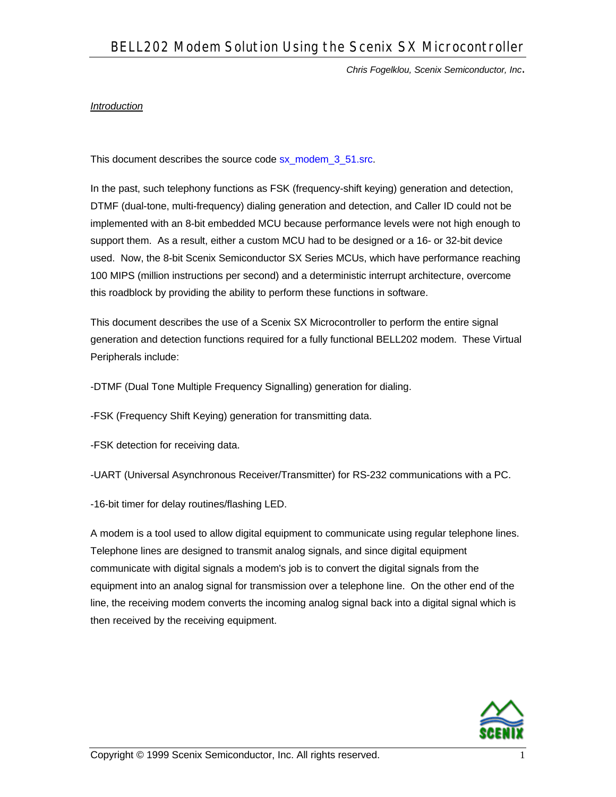#### *Introduction*

This document describes the source code sx\_modem\_3\_51.src.

In the past, such telephony functions as FSK (frequency-shift keying) generation and detection, DTMF (dual-tone, multi-frequency) dialing generation and detection, and Caller ID could not be implemented with an 8-bit embedded MCU because performance levels were not high enough to support them. As a result, either a custom MCU had to be designed or a 16- or 32-bit device used. Now, the 8-bit Scenix Semiconductor SX Series MCUs, which have performance reaching 100 MIPS (million instructions per second) and a deterministic interrupt architecture, overcome this roadblock by providing the ability to perform these functions in software.

This document describes the use of a Scenix SX Microcontroller to perform the entire signal generation and detection functions required for a fully functional BELL202 modem. These Virtual Peripherals include:

-DTMF (Dual Tone Multiple Frequency Signalling) generation for dialing.

-FSK (Frequency Shift Keying) generation for transmitting data.

-FSK detection for receiving data.

-UART (Universal Asynchronous Receiver/Transmitter) for RS-232 communications with a PC.

-16-bit timer for delay routines/flashing LED.

A modem is a tool used to allow digital equipment to communicate using regular telephone lines. Telephone lines are designed to transmit analog signals, and since digital equipment communicate with digital signals a modem's job is to convert the digital signals from the equipment into an analog signal for transmission over a telephone line. On the other end of the line, the receiving modem converts the incoming analog signal back into a digital signal which is then received by the receiving equipment.

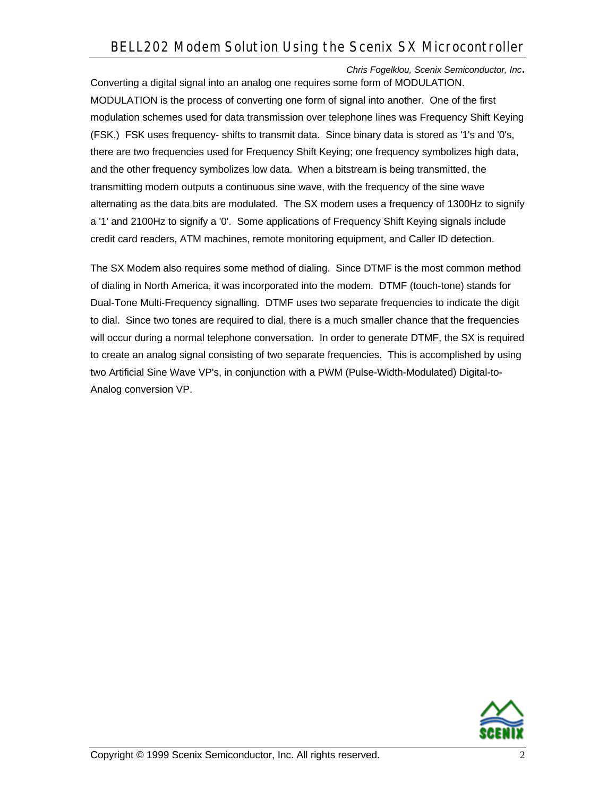*Chris Fogelklou, Scenix Semiconductor, Inc*. Converting a digital signal into an analog one requires some form of MODULATION. MODULATION is the process of converting one form of signal into another. One of the first modulation schemes used for data transmission over telephone lines was Frequency Shift Keying (FSK.) FSK uses frequency- shifts to transmit data. Since binary data is stored as '1's and '0's, there are two frequencies used for Frequency Shift Keying; one frequency symbolizes high data, and the other frequency symbolizes low data. When a bitstream is being transmitted, the transmitting modem outputs a continuous sine wave, with the frequency of the sine wave alternating as the data bits are modulated. The SX modem uses a frequency of 1300Hz to signify a '1' and 2100Hz to signify a '0'. Some applications of Frequency Shift Keying signals include credit card readers, ATM machines, remote monitoring equipment, and Caller ID detection.

The SX Modem also requires some method of dialing. Since DTMF is the most common method of dialing in North America, it was incorporated into the modem. DTMF (touch-tone) stands for Dual-Tone Multi-Frequency signalling. DTMF uses two separate frequencies to indicate the digit to dial. Since two tones are required to dial, there is a much smaller chance that the frequencies will occur during a normal telephone conversation. In order to generate DTMF, the SX is required to create an analog signal consisting of two separate frequencies. This is accomplished by using two Artificial Sine Wave VP's, in conjunction with a PWM (Pulse-Width-Modulated) Digital-to-Analog conversion VP.

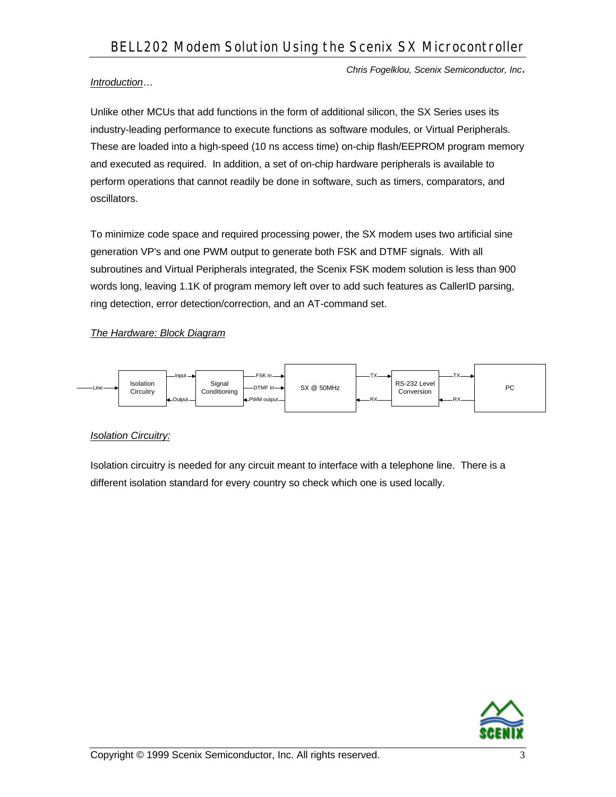## *Introduction*…

Unlike other MCUs that add functions in the form of additional silicon, the SX Series uses its industry-leading performance to execute functions as software modules, or Virtual Peripherals. These are loaded into a high-speed (10 ns access time) on-chip flash/EEPROM program memory and executed as required. In addition, a set of on-chip hardware peripherals is available to perform operations that cannot readily be done in software, such as timers, comparators, and oscillators.

To minimize code space and required processing power, the SX modem uses two artificial sine generation VP's and one PWM output to generate both FSK and DTMF signals. With all subroutines and Virtual Peripherals integrated, the Scenix FSK modem solution is less than 900 words long, leaving 1.1K of program memory left over to add such features as CallerID parsing, ring detection, error detection/correction, and an AT-command set.

# *The Hardware: Block Diagram*



## *Isolation Circuitry:*

Isolation circuitry is needed for any circuit meant to interface with a telephone line. There is a different isolation standard for every country so check which one is used locally.

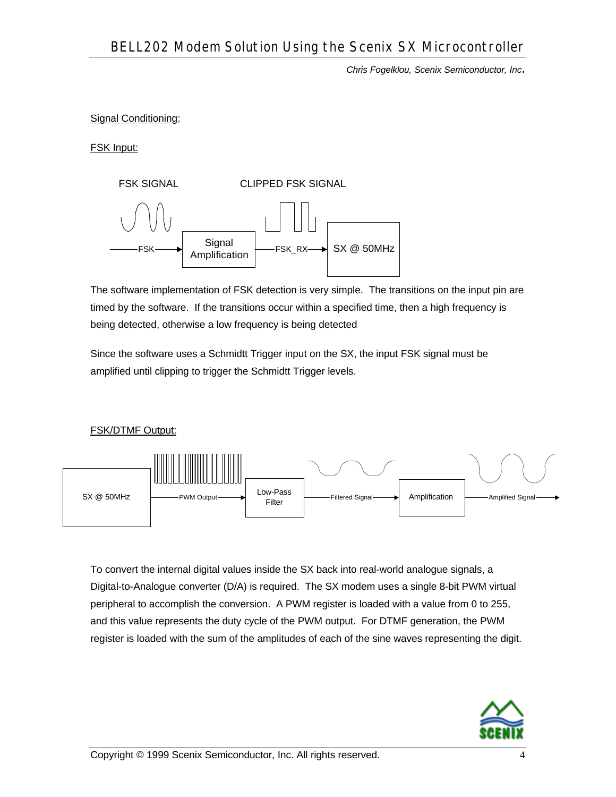#### Signal Conditioning:

FSK Input:



The software implementation of FSK detection is very simple. The transitions on the input pin are timed by the software. If the transitions occur within a specified time, then a high frequency is being detected, otherwise a low frequency is being detected

Since the software uses a Schmidtt Trigger input on the SX, the input FSK signal must be amplified until clipping to trigger the Schmidtt Trigger levels.

FSK/DTMF Output:



To convert the internal digital values inside the SX back into real-world analogue signals, a Digital-to-Analogue converter (D/A) is required. The SX modem uses a single 8-bit PWM virtual peripheral to accomplish the conversion. A PWM register is loaded with a value from 0 to 255, and this value represents the duty cycle of the PWM output. For DTMF generation, the PWM register is loaded with the sum of the amplitudes of each of the sine waves representing the digit.

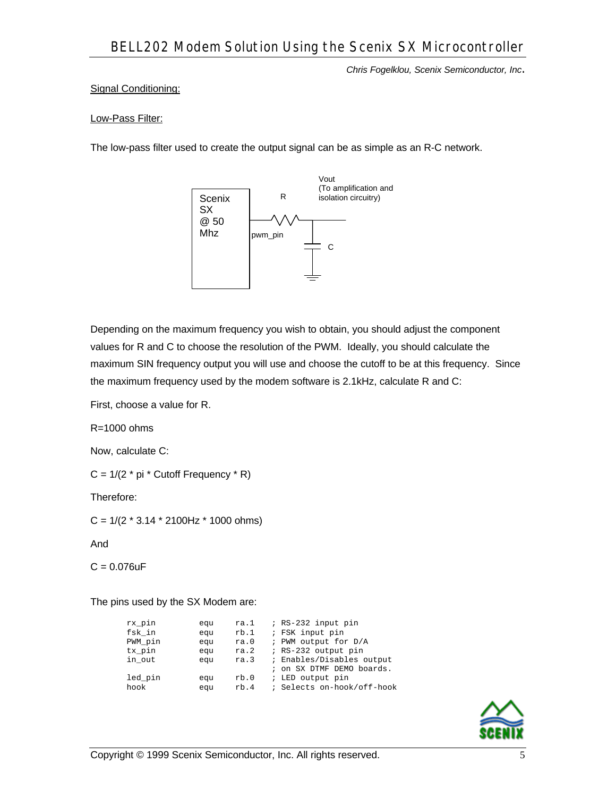### Signal Conditioning:

#### Low-Pass Filter:

The low-pass filter used to create the output signal can be as simple as an R-C network.



Depending on the maximum frequency you wish to obtain, you should adjust the component values for R and C to choose the resolution of the PWM. Ideally, you should calculate the maximum SIN frequency output you will use and choose the cutoff to be at this frequency. Since the maximum frequency used by the modem software is 2.1kHz, calculate R and C:

First, choose a value for R.

 $R = 1000$  ohms

Now, calculate C:

 $C = 1/(2 * pi * Cutoff Frequency * R)$ 

Therefore:

 $C = 1/(2 * 3.14 * 2100 Hz * 1000 ohms)$ 

And

 $C = 0.076uF$ 

The pins used by the SX Modem are:

| rx_pin  | equ | ra.1 | ; RS-232 input pin         |
|---------|-----|------|----------------------------|
| fsk in  | equ | rb.1 | ; FSK input pin            |
| PWM pin | equ | ra.0 | ; PWM output for D/A       |
| tx pin  | equ | ra.2 | ; RS-232 output pin        |
| in out  | equ | ra.3 | ; Enables/Disables output  |
|         |     |      | ; on SX DTMF DEMO boards.  |
| led pin | equ | rb.0 | ; LED output pin           |
| hook    | equ | rb.4 | ; Selects on-hook/off-hook |

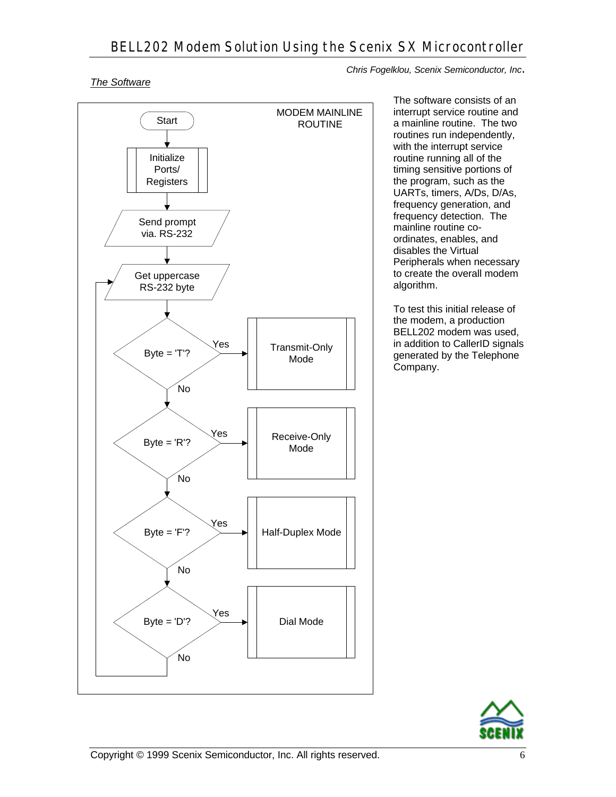## *The Software*



*Chris Fogelklou, Scenix Semiconductor, Inc*.

The software consists of an interrupt service routine and a mainline routine. The two routines run independently, with the interrupt service routine running all of the timing sensitive portions of the program, such as the UARTs, timers, A/Ds, D/As, frequency generation, and frequency detection. The mainline routine coordinates, enables, and disables the Virtual Peripherals when necessary to create the overall modem algorithm.

To test this initial release of the modem, a production BELL202 modem was used, in addition to CallerID signals generated by the Telephone Company.

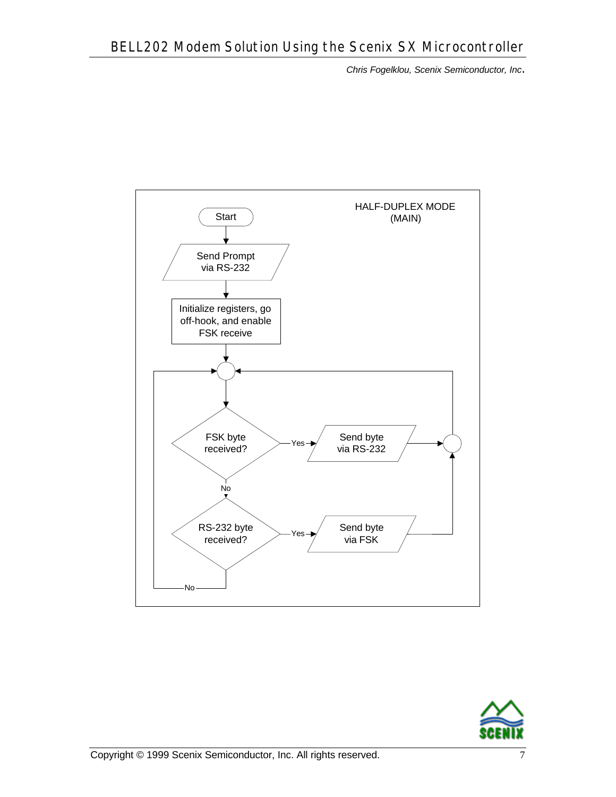

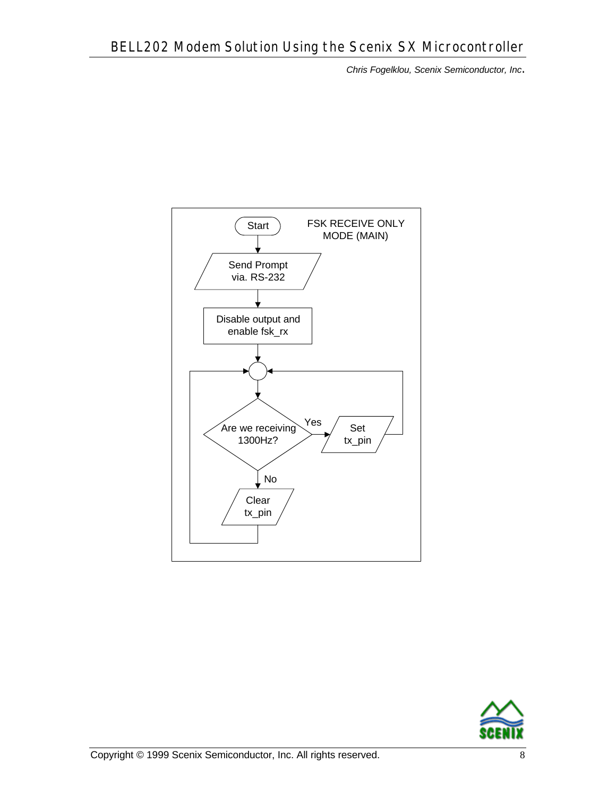

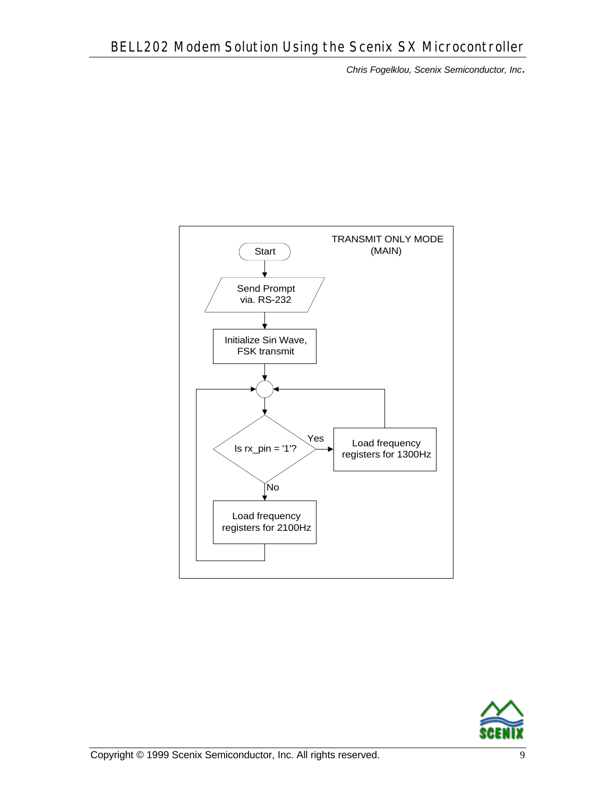

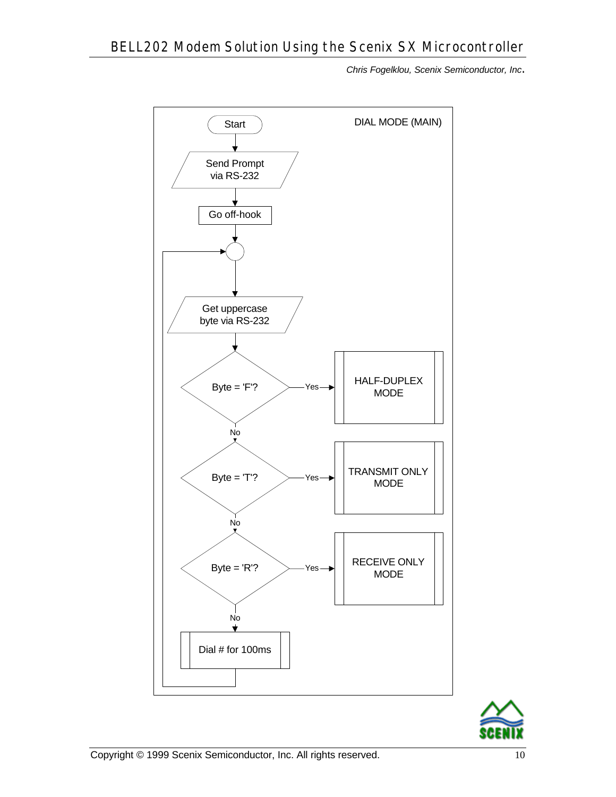

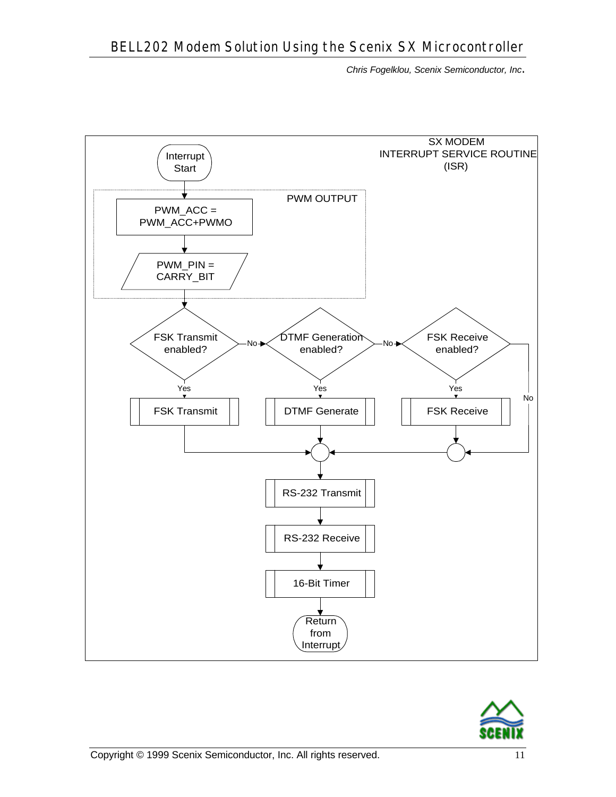

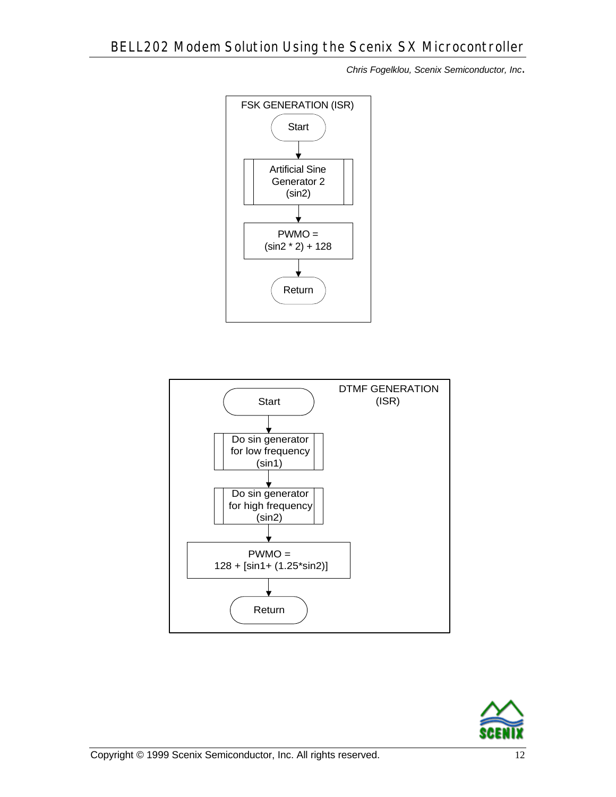



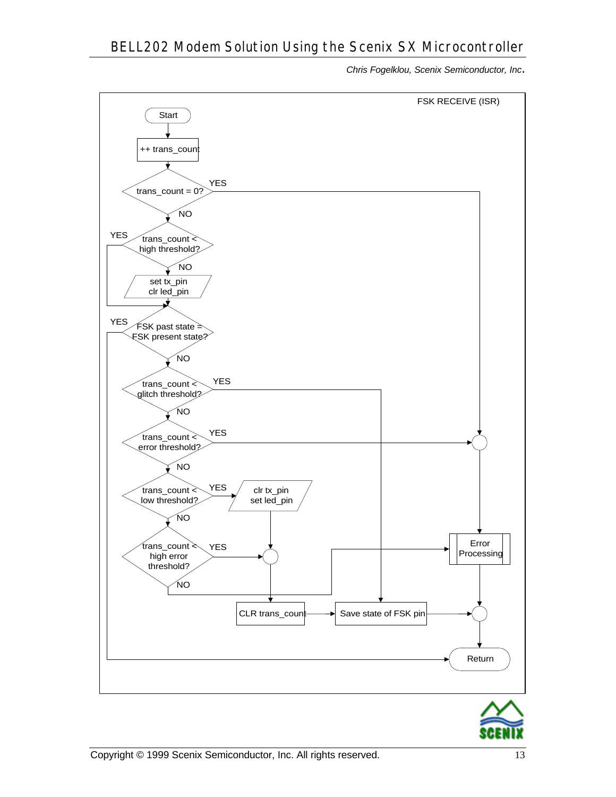

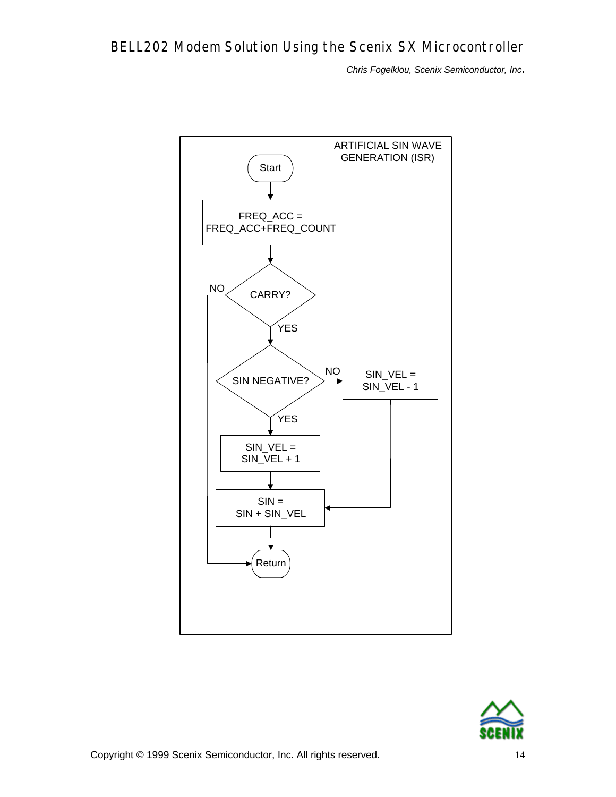